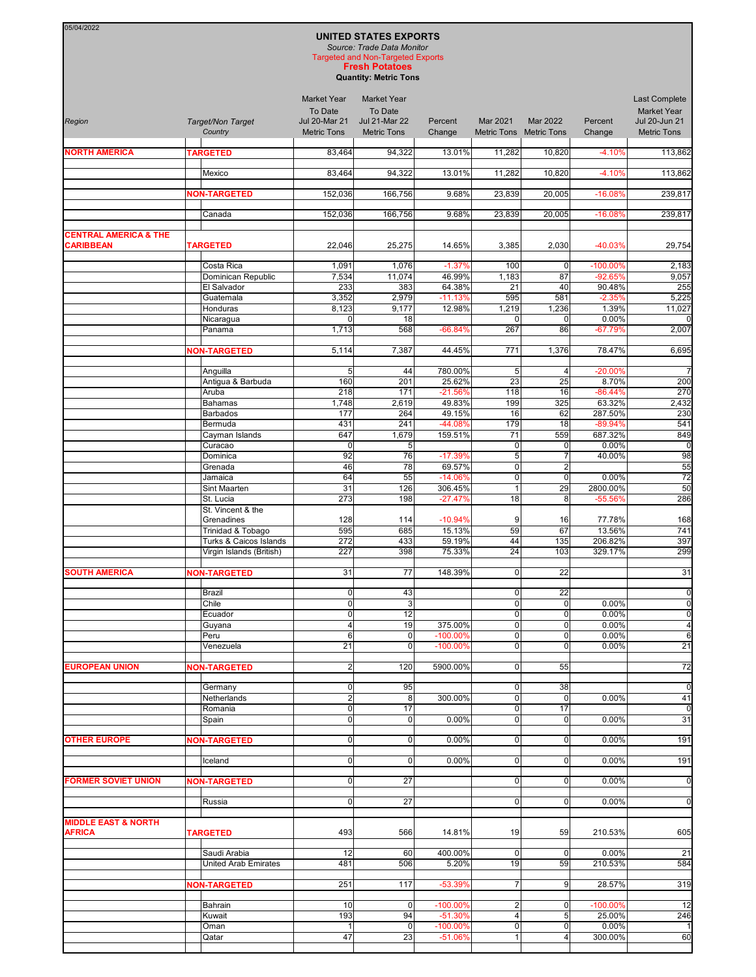## **UNITED STATES EXPORTS** *Source: Trade Data Monitor*

05/04/2022

**Fresh Potatoes** Targeted and Non-Targeted Exports

**Quantity: Metric Tons**

| Region                                               | Target/Non Target<br>Country         | <b>Market Year</b><br>To Date<br><b>Jul 20-Mar 21</b><br><b>Metric Tons</b> | <b>Market Year</b><br>To Date<br><b>Jul 21-Mar 22</b><br><b>Metric Tons</b> | Percent<br>Change       | Mar 2021<br>Metric Tons Metric Tons    | Mar 2022                      | Percent<br>Change   | Last Complete<br><b>Market Year</b><br>Jul 20-Jun 21<br><b>Metric Tons</b> |
|------------------------------------------------------|--------------------------------------|-----------------------------------------------------------------------------|-----------------------------------------------------------------------------|-------------------------|----------------------------------------|-------------------------------|---------------------|----------------------------------------------------------------------------|
| <b>NORTH AMERICA</b>                                 | <b>TARGETED</b>                      | 83,464                                                                      | 94,322                                                                      | 13.01%                  | 11,282                                 | 10,820                        | $-4.10%$            | 113,862                                                                    |
|                                                      | Mexico                               | 83,464                                                                      | 94,322                                                                      | 13.01%                  | 11,282                                 | 10,820                        | $-4.10%$            | 113,862                                                                    |
|                                                      | <b>NON-TARGETED</b>                  | 152,036                                                                     | 166,756                                                                     | 9.68%                   | 23,839                                 | 20,005                        | $-16.08%$           | 239,817                                                                    |
|                                                      |                                      |                                                                             |                                                                             |                         |                                        |                               |                     |                                                                            |
|                                                      | Canada                               | 152,036                                                                     | 166,756                                                                     | 9.68%                   | 23,839                                 | 20,005                        | $-16.08%$           | 239,817                                                                    |
| <b>CENTRAL AMERICA &amp; THE</b><br><b>CARIBBEAN</b> | <b>TARGETED</b>                      | 22,046                                                                      | 25,275                                                                      | 14.65%                  | 3,385                                  | 2,030                         | -40.03%             | 29,754                                                                     |
|                                                      | Costa Rica                           | 1,091                                                                       | 1,076                                                                       | $-1.37%$                | 100                                    | $\mathbf 0$                   | -100.00%            | 2,183                                                                      |
|                                                      | Dominican Republic<br>El Salvador    | 7,534<br>233                                                                | 11,074<br>383                                                               | 46.99%<br>64.38%        | 1,183<br>21                            | 87<br>40                      | $-92.65%$<br>90.48% | 9,057<br>255                                                               |
|                                                      | Guatemala                            | 3,352                                                                       | 2,979                                                                       | $-11.13%$               | 595                                    | 581                           | $-2.35%$            | 5,225                                                                      |
|                                                      | Honduras                             | 8,123                                                                       | 9,177                                                                       | 12.98%                  | 1,219                                  | 1,236                         | 1.39%               | 11,027                                                                     |
|                                                      | Nicaragua<br>Panama                  | $\mathbf 0$<br>1,713                                                        | 18<br>568                                                                   | $-66.84%$               | $\Omega$<br>267                        | $\mathbf 0$<br>86             | 0.00%<br>$-67.79%$  | $\Omega$<br>2,007                                                          |
|                                                      |                                      |                                                                             |                                                                             |                         |                                        |                               |                     |                                                                            |
|                                                      | <b>NON-TARGETED</b>                  | 5,114                                                                       | 7,387                                                                       | 44.45%                  | 771                                    | 1,376                         | 78.47%              | 6,695                                                                      |
|                                                      | Anguilla                             | 5                                                                           | 44                                                                          | 780.00%                 | 5                                      | $\overline{4}$                | -20.00%             | $\overline{7}$                                                             |
|                                                      | Antigua & Barbuda                    | 160                                                                         | 201                                                                         | 25.62%                  | 23                                     | 25                            | 8.70%               | 200                                                                        |
|                                                      | Aruba<br><b>Bahamas</b>              | 218<br>1,748                                                                | 171<br>2,619                                                                | $-21.56%$<br>49.83%     | 118<br>199                             | 16<br>325                     | $-86.44%$<br>63.32% | 270<br>2,432                                                               |
|                                                      | <b>Barbados</b>                      | 177                                                                         | 264                                                                         | 49.15%                  | 16                                     | 62                            | 287.50%             | 230                                                                        |
|                                                      | Bermuda                              | 431                                                                         | 241                                                                         | -44.08%                 | 179                                    | 18                            | $-89.94%$           | 541                                                                        |
|                                                      | Cayman Islands<br>Curacao            | 647<br>$\mathbf 0$                                                          | 1,679<br>5                                                                  | 159.51%                 | 71<br>$\mathbf 0$                      | 559<br>0                      | 687.32%<br>0.00%    | 849<br>$\mathbf 0$                                                         |
|                                                      | Dominica                             | 92                                                                          | 76                                                                          | $-17.39%$               | $\overline{5}$                         | $\overline{7}$                | 40.00%              | 98                                                                         |
|                                                      | Grenada                              | 46                                                                          | 78                                                                          | 69.57%                  | $\overline{0}$                         | $\overline{2}$                |                     | 55                                                                         |
|                                                      | Jamaica                              | 64                                                                          | 55                                                                          | $-14.06%$<br>306.45%    | $\overline{\mathbf{0}}$                | $\mathbf 0$                   | 0.00%               | $\overline{72}$<br>50                                                      |
|                                                      | Sint Maarten<br>St. Lucia            | 31<br>273                                                                   | 126<br>198                                                                  | $-27.47%$               | $\mathbf{1}$<br>18                     | 29<br>8                       | 2800.00%<br>-55.56% | 286                                                                        |
|                                                      | St. Vincent & the                    |                                                                             |                                                                             |                         |                                        |                               |                     |                                                                            |
|                                                      | Grenadines<br>Trinidad & Tobago      | 128<br>595                                                                  | 114<br>685                                                                  | $-10.94%$<br>15.13%     | 9<br>59                                | 16<br>67                      | 77.78%<br>13.56%    | 168<br>741                                                                 |
|                                                      | Turks & Caicos Islands               | 272                                                                         | 433                                                                         | 59.19%                  | 44                                     | 135                           | 206.82%             | 397                                                                        |
|                                                      | Virgin Islands (British)             | 227                                                                         | 398                                                                         | 75.33%                  | $\overline{24}$                        | 103                           | 329.17%             | 299                                                                        |
| <b>SOUTH AMERICA</b>                                 | <b>NON-TARGETED</b>                  | 31                                                                          | 77                                                                          | 148.39%                 | $\mathbf 0$                            | 22                            |                     | 31                                                                         |
|                                                      | <b>Brazil</b><br>Chile               | $\mathbf 0$<br>$\overline{\mathbf{0}}$                                      | 43<br>ω                                                                     |                         | $\mathbf 0$<br>$\overline{\mathbf{0}}$ | 22<br>$\mathbf 0$             | 0.00%               | $\overline{0}$<br>$\overline{0}$                                           |
|                                                      | Ecuador                              | $\overline{0}$                                                              | $\overline{12}$                                                             |                         | $\overline{0}$                         | $\mathbf 0$                   | 0.00%               | $\overline{0}$                                                             |
|                                                      | Guyana                               | $\overline{\mathbf{4}}$                                                     | 19                                                                          | 375.00%                 | $\mathbf 0$                            | $\mathbf 0$                   | 0.00%               | $\overline{4}$                                                             |
|                                                      | Peru                                 | 6<br>21                                                                     | $\overline{0}$<br> 0                                                        | $-100.00%$              | $\mathbf 0$<br>$\overline{0}$          | $\mathbf 0$                   | 0.00%<br>0.00%      | $\overline{6}$<br>21                                                       |
|                                                      | venezuela                            |                                                                             |                                                                             | $-100.00\%$             |                                        | 0                             |                     |                                                                            |
| <b>EUROPEAN UNION</b>                                | <b>NON-TARGETED</b>                  | 2 <sub>l</sub><br>$\overline{0}$                                            | 120<br>95                                                                   | 5900.00%                | $\overline{0}$<br>$\mathbf 0$          | 55<br>38                      |                     | 72<br>$\overline{0}$                                                       |
|                                                      | Germany<br>Netherlands               | $\overline{2}$                                                              | 8                                                                           | 300.00%                 | $\mathbf 0$                            | $\mathbf 0$                   | 0.00%               | 41                                                                         |
|                                                      | Romania<br>Spain                     | $\overline{0}$<br>$\overline{0}$                                            | 17<br>$\overline{0}$                                                        | 0.00%                   | $\mathbf 0$<br>$\mathbf 0$             | 17<br>$\mathbf 0$             | 0.00%               | $\overline{0}$<br>31                                                       |
|                                                      |                                      |                                                                             |                                                                             |                         |                                        |                               |                     |                                                                            |
| <b>OTHER EUROPE</b>                                  | <b>NON-TARGETED</b>                  | $\overline{0}$                                                              | 0                                                                           | 0.00%                   | $\overline{0}$                         | $\overline{0}$                | 0.00%               | 191                                                                        |
|                                                      | Iceland                              | $\overline{0}$                                                              | $\overline{0}$                                                              | 0.00%                   | $\mathbf 0$                            | $\mathbf 0$                   | 0.00%               | 191                                                                        |
| <b>FORMER SOVIET UNION</b>                           | <b>NON-TARGETED</b>                  | $\overline{0}$                                                              | 27                                                                          |                         | $\mathbf 0$                            | $\overline{0}$                | 0.00%               | $\circ$                                                                    |
|                                                      | Russia                               | $\overline{0}$                                                              | 27                                                                          |                         | $\overline{0}$                         | $\overline{0}$                | 0.00%               | $\overline{0}$                                                             |
|                                                      |                                      |                                                                             |                                                                             |                         |                                        |                               |                     |                                                                            |
| <b>MIDDLE EAST &amp; NORTH</b><br><b>AFRICA</b>      | <b>TARGETED</b>                      | 493                                                                         | 566                                                                         | 14.81%                  | 19                                     | 59                            | 210.53%             | 605                                                                        |
|                                                      | Saudi Arabia<br>United Arab Emirates | 12<br>481                                                                   | 60<br>506                                                                   | 400.00%<br>5.20%        | $\mathbf 0$<br>19                      | $\mathbf 0$<br>59             | 0.00%<br>210.53%    | 21<br>584                                                                  |
|                                                      |                                      |                                                                             |                                                                             |                         |                                        |                               |                     |                                                                            |
|                                                      | <b>NON-TARGETED</b>                  | 251                                                                         | 117                                                                         | -53.39%                 | $\overline{7}$                         | 9                             | 28.57%              | 319                                                                        |
|                                                      | Bahrain                              | 10                                                                          | $\overline{0}$                                                              | $-100.00%$              | $\overline{2}$                         | 0                             | $-100.00\%$         | 12                                                                         |
|                                                      | Kuwait                               | 193                                                                         | 94                                                                          | $-51.30%$               | $\overline{4}$                         | 5                             | 25.00%              | 246                                                                        |
|                                                      | Oman<br>Qatar                        | 1<br>47                                                                     | $\overline{0}$<br>23                                                        | $-100.00%$<br>$-51.06%$ | $\pmb{0}$<br>1                         | $\mathbf 0$<br>$\overline{4}$ | 0.00%<br>300.00%    | 60                                                                         |
|                                                      |                                      |                                                                             |                                                                             |                         |                                        |                               |                     |                                                                            |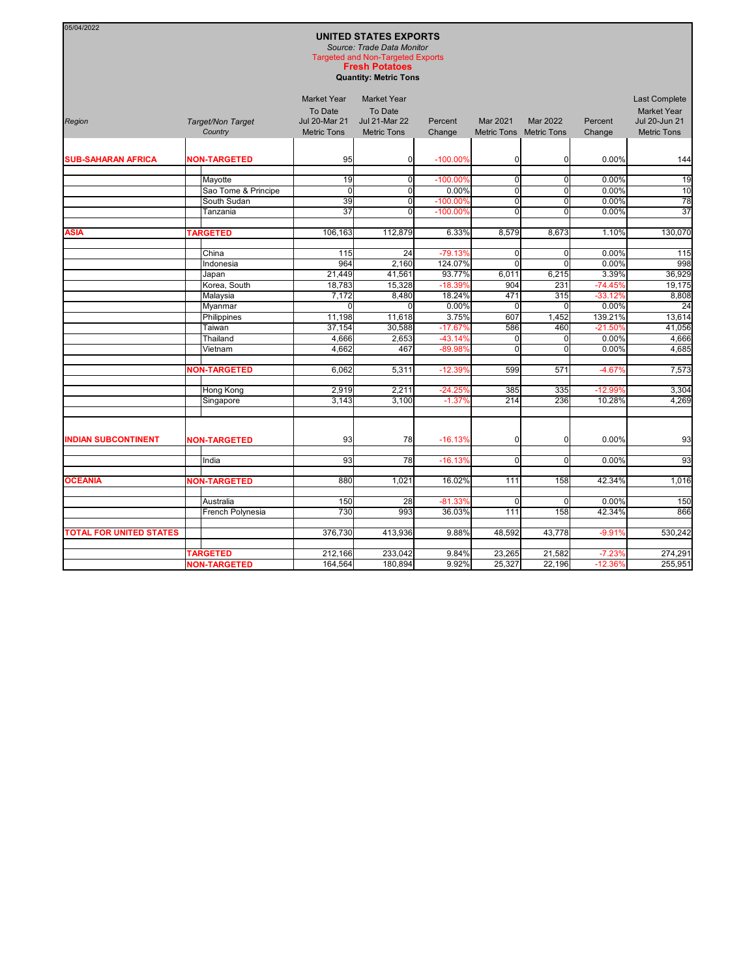## **UNITED STATES EXPORTS** *Source: Trade Data Monitor*

05/04/2022

**Fresh Potatoes** Targeted and Non-Targeted Exports

**Quantity: Metric Tons**

| Region                         | Target/Non Target<br>Country | <b>Market Year</b><br>To Date<br><b>Jul 20-Mar 21</b><br><b>Metric Tons</b> | <b>Market Year</b><br>To Date<br><b>Jul 21-Mar 22</b><br><b>Metric Tons</b> | Percent<br>Change      | <b>Mar 2021</b><br><b>Metric Tons</b> | <b>Mar 2022</b><br><b>Metric Tons</b> | Percent<br>Change  | <b>Last Complete</b><br><b>Market Year</b><br>Jul 20-Jun 21<br><b>Metric Tons</b> |
|--------------------------------|------------------------------|-----------------------------------------------------------------------------|-----------------------------------------------------------------------------|------------------------|---------------------------------------|---------------------------------------|--------------------|-----------------------------------------------------------------------------------|
| <b>SUB-SAHARAN AFRICA</b>      | <b>NON-TARGETED</b>          | 95                                                                          | $\Omega$                                                                    | $-100.00\%$            | $\overline{0}$                        | $\Omega$                              | 0.00%              | 144                                                                               |
|                                |                              |                                                                             |                                                                             |                        |                                       |                                       |                    |                                                                                   |
|                                | Mayotte                      | 19                                                                          | $\Omega$                                                                    | $-100.00%$             | $\overline{0}$                        | 0                                     | 0.00%              | 19                                                                                |
|                                | Sao Tome & Principe          | $\Omega$                                                                    | $\Omega$                                                                    | 0.00%                  | $\overline{0}$                        | $\Omega$                              | 0.00%              | 10                                                                                |
|                                | South Sudan                  | 39                                                                          | $\overline{0}$                                                              | $-100.00%$             | $\overline{0}$                        | $\mathbf 0$                           | 0.00%              | 78                                                                                |
|                                | Tanzania                     | 37                                                                          | $\Omega$                                                                    | $-100.00%$             | $\Omega$                              | 0                                     | 0.00%              | $\overline{37}$                                                                   |
|                                |                              |                                                                             |                                                                             |                        |                                       |                                       |                    |                                                                                   |
| <b>ASIA</b>                    | <b>TARGETED</b>              | 106,163                                                                     | 112,879                                                                     | 6.33%                  | 8,579                                 | 8,673                                 | 1.10%              | 130,070                                                                           |
|                                |                              |                                                                             |                                                                             |                        |                                       |                                       |                    |                                                                                   |
|                                | China                        | 115                                                                         | 24                                                                          | $-79.13%$              | $\overline{0}$                        | $\mathbf 0$                           | 0.00%              | $\frac{115}{2}$                                                                   |
|                                | Indonesia                    | 964                                                                         | 2,160                                                                       | 124.07%                | $\Omega$                              | $\Omega$                              | 0.00%              | 998                                                                               |
|                                | Japan                        | 21,449                                                                      | 41,561                                                                      | 93.77%                 | 6,011                                 | 6,215                                 | 3.39%              | 36,929                                                                            |
|                                | Korea, South                 | 18,783                                                                      | 15,328                                                                      | $-18.39%$              | 904<br>471                            | 231<br>315                            | $-74.45%$          | 19,175                                                                            |
|                                | Malaysia                     | 7,172<br>$\Omega$                                                           | 8,480<br>$\Omega$                                                           | 18.24%<br>0.00%        | $\Omega$                              | $\Omega$                              | $-33.12%$<br>0.00% | 8,808<br>24                                                                       |
|                                | Myanmar                      | 11,198                                                                      |                                                                             | 3.75%                  | 607                                   | 1,452                                 | 139.21%            |                                                                                   |
|                                | <b>Philippines</b><br>Taiwan | 37,154                                                                      | 11,618<br>30,588                                                            | $-17.67%$              | 586                                   | 460                                   | $-21.50%$          | 13,614<br>41,056                                                                  |
|                                |                              | 4,666                                                                       | 2,653                                                                       |                        |                                       |                                       |                    |                                                                                   |
|                                | Thailand<br>Vietnam          | 4,662                                                                       | 467                                                                         | $-43.14%$<br>$-89.98%$ | $\Omega$<br>$\Omega$                  | $\mathbf 0$<br>$\Omega$               | 0.00%<br>0.00%     | 4,666<br>4,685                                                                    |
|                                |                              |                                                                             |                                                                             |                        |                                       |                                       |                    |                                                                                   |
|                                | <b>NON-TARGETED</b>          | 6,062                                                                       | 5,311                                                                       | $-12.39%$              | 599                                   | 571                                   | $-4.67%$           | 7,573                                                                             |
|                                |                              |                                                                             |                                                                             |                        |                                       |                                       |                    |                                                                                   |
|                                | Hong Kong                    | 2,919                                                                       | 2,211                                                                       | $-24.25%$              | 385                                   | 335                                   | $-12.99%$          | 3,304                                                                             |
|                                | Singapore                    | 3,143                                                                       | 3,100                                                                       | $-1.37%$               | 214                                   | 236                                   | 10.28%             | 4,269                                                                             |
|                                |                              |                                                                             |                                                                             |                        |                                       |                                       |                    |                                                                                   |
| <b>INDIAN SUBCONTINENT</b>     | <b>NON-TARGETED</b>          | 93                                                                          | 78                                                                          | $-16.13%$              | $\overline{0}$                        | $\mathbf 0$                           | 0.00%              | 93                                                                                |
|                                |                              |                                                                             |                                                                             |                        |                                       |                                       |                    |                                                                                   |
|                                | India                        | 93                                                                          | 78                                                                          | $-16.13%$              | $\overline{0}$                        | $\Omega$                              | 0.00%              | 93                                                                                |
| <b>OCEANIA</b>                 | <b>NON-TARGETED</b>          | 880                                                                         | 1,021                                                                       | 16.02%                 | 111                                   | 158                                   | 42.34%             | 1,016                                                                             |
|                                |                              |                                                                             |                                                                             |                        |                                       |                                       |                    |                                                                                   |
|                                | Australia                    | 150                                                                         | 28                                                                          | $-81.33%$              | $\Omega$                              | $\Omega$                              | 0.00%              | 150                                                                               |
|                                | French Polynesia             | 730                                                                         | 993                                                                         | 36.03%                 | 111                                   | 158                                   | 42.34%             | 866                                                                               |
| <b>TOTAL FOR UNITED STATES</b> |                              | 376,730                                                                     | 413,936                                                                     | 9.88%                  | 48,592                                | 43,778                                | $-9.91%$           | 530,242                                                                           |
|                                | <b>TARGETED</b>              |                                                                             |                                                                             | 9.84%                  | 23,265                                |                                       | $-7.23%$           |                                                                                   |
|                                | <b>NON-TARGETED</b>          | 212,166<br>164,564                                                          | 233,042<br>180,894                                                          | 9.92%                  | 25,327                                | 21,582<br>22,196                      | $-12.36%$          | 274,291<br>255,951                                                                |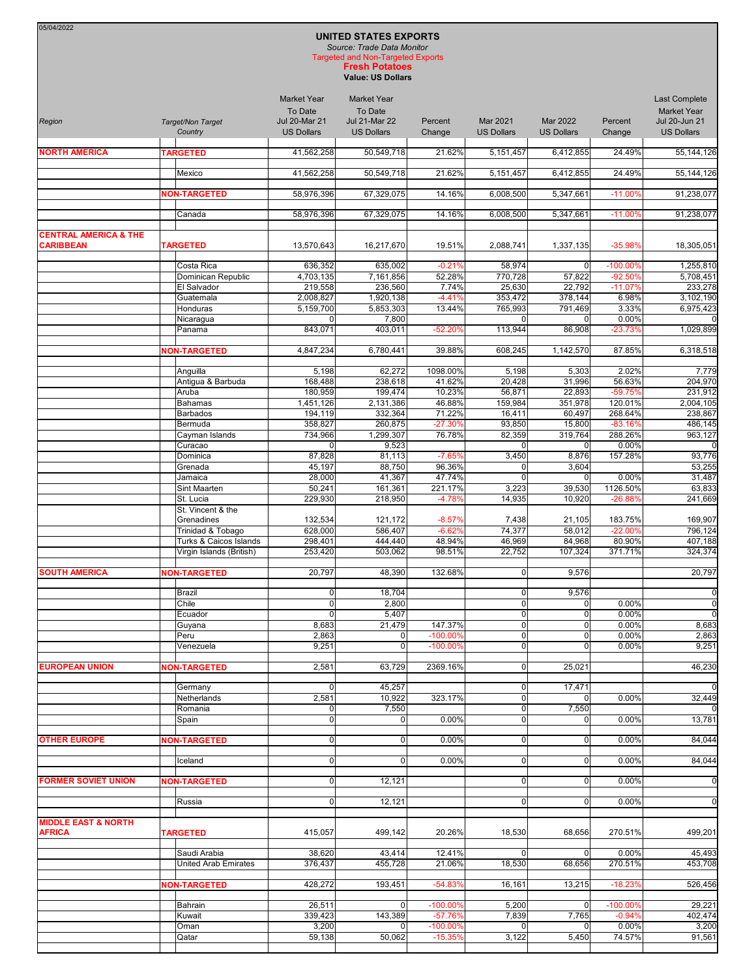| 05/04/2022<br><b>UNITED STATES EXPORTS</b><br>Source: Trade Data Monitor<br><b>Targeted and Non-Targeted Exports</b><br><b>Fresh Potatoes</b><br><b>Value: US Dollars</b> |  |                                             |                                                                            |                                                       |                       |                            |                     |                        |                                                             |
|---------------------------------------------------------------------------------------------------------------------------------------------------------------------------|--|---------------------------------------------|----------------------------------------------------------------------------|-------------------------------------------------------|-----------------------|----------------------------|---------------------|------------------------|-------------------------------------------------------------|
| Region                                                                                                                                                                    |  | Target/Non Target                           | <b>Market Year</b><br>To Date<br><b>Jul 20-Mar 21</b><br><b>US Dollars</b> | <b>Market Year</b><br>To Date<br><b>Jul 21-Mar 22</b> | Percent               | Mar 2021                   | Mar 2022            | Percent                | <b>Last Complete</b><br><b>Market Year</b><br>Jul 20-Jun 21 |
|                                                                                                                                                                           |  | Country                                     |                                                                            | <b>US Dollars</b>                                     | Change                | <b>US Dollars</b>          | <b>US Dollars</b>   | Change                 | <b>US Dollars</b>                                           |
| <b>NORTH AMERICA</b>                                                                                                                                                      |  | <b>TARGETED</b>                             | 41,562,258                                                                 | 50,549,718                                            | 21.62%                | 5,151,457                  | 6,412,855           | 24.49%                 | 55,144,126                                                  |
|                                                                                                                                                                           |  | Mexico                                      | 41,562,258                                                                 | 50,549,718                                            | 21.62%                | 5,151,457                  | 6,412,855           | 24.49%                 | 55,144,126                                                  |
|                                                                                                                                                                           |  | <b>NON-TARGETED</b>                         | 58,976,396                                                                 | 67,329,075                                            | 14.16%                | 6,008,500                  | 5,347,661           | $-11.00%$              | 91,238,077                                                  |
|                                                                                                                                                                           |  | Canada                                      | 58,976,396                                                                 | 67,329,075                                            | 14.16%                | 6,008,500                  | 5,347,661           | $-11.00%$              | 91,238,077                                                  |
| <b>CENTRAL AMERICA &amp; THE</b><br><b>CARIBBEAN</b>                                                                                                                      |  | <b>TARGETED</b>                             | 13,570,643                                                                 | 16,217,670                                            | 19.51%                | 2,088,741                  | 1,337,135           | -35.98%                | 18,305,051                                                  |
|                                                                                                                                                                           |  | Costa Rica                                  | 636,352                                                                    | 635,002                                               | $-0.21%$              | 58,974                     | $\mathbf 0$         | -100.00%               | 1,255,810                                                   |
|                                                                                                                                                                           |  | Dominican Republic<br>El Salvador           | 4,703,135<br>219,558                                                       | 7,161,856<br>236,560                                  | 52.28%<br>7.74%       | 770,728<br>25,630          | 57,822<br>22,792    | $-92.50%$<br>$-11.07%$ | 5,708,451<br>233,278                                        |
|                                                                                                                                                                           |  | Guatemala                                   | 2,008,827                                                                  | 1,920,138                                             | $-4.41%$              | 353,472                    | 378,144             | 6.98%                  | 3,102,190                                                   |
|                                                                                                                                                                           |  | Honduras                                    | 5,159,700                                                                  | 5,853,303                                             | 13.44%                | 765,993                    | 791,469             | 3.33%                  | 6,975,423                                                   |
|                                                                                                                                                                           |  | Nicaragua<br>Panama                         | 0<br>843,071                                                               | 7,800<br>403.011                                      | $-52.20%$             | $\Omega$<br>113,944        | 86,908              | 0.00%<br>$-23.73%$     | 1,029,899                                                   |
|                                                                                                                                                                           |  | <b>NON-TARGETED</b>                         | 4,847,234                                                                  | 6,780,441                                             | 39.88%                | 608,245                    | 1,142,570           | 87.85%                 | 6,318,518                                                   |
|                                                                                                                                                                           |  | Anguilla                                    | 5,198                                                                      | 62,272                                                | 1098.00%              | 5,198                      | 5,303               | 2.02%                  | 7,779                                                       |
|                                                                                                                                                                           |  | Antigua & Barbuda                           | 168,488                                                                    | 238,618                                               | 41.62%                | 20,428                     | 31,996              | 56.63%                 | 204,970                                                     |
|                                                                                                                                                                           |  | Aruba                                       | 180,959                                                                    | 199,474                                               | 10.23%                | 56,871                     | 22,893              | -59.75%                | 231,912                                                     |
|                                                                                                                                                                           |  | <b>Bahamas</b>                              | 1,451,126                                                                  | 2,131,386                                             | 46.88%                | 159,984                    | 351,978             | 120.01%                | 2,004,105                                                   |
|                                                                                                                                                                           |  | Barbados                                    | 194,119                                                                    | 332,364                                               | 71.22%                | 16,411                     | 60,497              | 268.64%                | 238,867                                                     |
|                                                                                                                                                                           |  | Bermuda                                     | 358,827                                                                    | 260,875                                               | $-27.30%$             | 93,850                     | 15,800              | $-83.16%$              | 486,145                                                     |
|                                                                                                                                                                           |  | Cayman Islands<br>Curacao                   | 734,966<br>0                                                               | 1,299,307<br>9,523                                    | 76.78%                | 82,359<br>0                | 319,764<br>$\Omega$ | 288.26%<br>0.00%       | 963,127                                                     |
|                                                                                                                                                                           |  | Dominica                                    | 87,828                                                                     | 81,113                                                | $-7.65%$              | 3,450                      | 8,876               | 157.28%                | 93,776                                                      |
|                                                                                                                                                                           |  | Grenada                                     | 45,197                                                                     | 88,750                                                | 96.36%                | $\Omega$                   | 3,604               |                        | 53,255                                                      |
|                                                                                                                                                                           |  | Jamaica                                     | 28,000                                                                     | 41,367                                                | 47.74%                | $\Omega$                   | $\Omega$            | 0.00%                  | 31,487                                                      |
|                                                                                                                                                                           |  | Sint Maarten<br>St. Lucia                   | 50,241<br>229,930                                                          | 161,361<br>218,950                                    | 221.17%<br>$-4.78%$   | 3,223<br>14,935            | 39,530<br>10,920    | 1126.50%<br>$-26.88%$  | 63,833<br>241,669                                           |
|                                                                                                                                                                           |  | St. Vincent & the                           |                                                                            |                                                       |                       |                            |                     |                        |                                                             |
|                                                                                                                                                                           |  | Grenadines<br>Trinidad & Tobago             | 132,534<br>628,000                                                         | 121,172<br>586.407                                    | $-8.57%$<br>$-6.62%$  | 7,438<br>74,377            | 21,105<br>58,012    | 183.75%<br>$-22.00%$   | 169,907<br>796,124                                          |
|                                                                                                                                                                           |  | Turks & Caicos Islands                      | 298,401                                                                    | 444,440                                               | 48.94%                | 46,969                     | 84,968              | 80.90%                 | 407,188                                                     |
|                                                                                                                                                                           |  | Virgin Islands (British)                    | 253,420                                                                    | 503,062                                               | 98.51%                | 22,752                     | 107,324             | 371.71%                | 324,374                                                     |
| <b>SOUTH AMERICA</b>                                                                                                                                                      |  | <b>NON-TARGETED</b>                         | 20,797                                                                     | 48,390                                                | 132.68%               | $\Omega$                   | 9,576               |                        | 20,797                                                      |
|                                                                                                                                                                           |  | Brazil                                      | $\overline{0}$                                                             | 18,704                                                |                       | $\overline{0}$             | 9,576               |                        | C                                                           |
|                                                                                                                                                                           |  | Chile                                       | $\overline{0}$                                                             | 2,800                                                 |                       | $\Omega$                   |                     | 0.00%                  | $\mathsf{C}$                                                |
|                                                                                                                                                                           |  | Ecuador<br>Guyana                           | $\mathbf 0$<br>8,683                                                       | 5,407<br>21,479                                       | 147.37%               | $\mathbf 0$<br>$\mathbf 0$ | 0<br>0              | 0.00%<br>0.00%         | $\epsilon$<br>8,683                                         |
|                                                                                                                                                                           |  | Peru                                        | 2,863                                                                      | $\overline{0}$                                        | $-100.00%$            | $\mathbf 0$                | 0                   | 0.00%                  | 2,863                                                       |
|                                                                                                                                                                           |  | Venezuela                                   | 9,251                                                                      | $\overline{0}$                                        | -100.00%              | $\mathbf 0$                | 0                   | 0.00%                  | 9,251                                                       |
| <b>EUROPEAN UNION</b>                                                                                                                                                     |  | <b>NON-TARGETED</b>                         | 2,581                                                                      | 63,729                                                | 2369.16%              | $\mathbf 0$                | 25,021              |                        | 46,230                                                      |
|                                                                                                                                                                           |  | Germany<br>Netherlands                      | $\mathbf 0$<br>2,581                                                       | 45,257<br>10,922                                      | 323.17%               | $\mathbf 0$<br>$\mathbf 0$ | 17,471              | 0.00%                  | 32,449                                                      |
|                                                                                                                                                                           |  | Romania                                     | 0                                                                          | 7,550                                                 |                       | $\mathbf 0$                | 7,550               |                        |                                                             |
|                                                                                                                                                                           |  | Spain                                       | $\mathbf 0$                                                                | $\overline{0}$                                        | 0.00%                 | $\mathbf 0$                | $\Omega$            | 0.00%                  | 13,781                                                      |
| <b>OTHER EUROPE</b>                                                                                                                                                       |  | <b>NON-TARGETED</b>                         | $\overline{0}$                                                             | $\overline{0}$                                        | 0.00%                 | $\overline{0}$             | 0                   | 0.00%                  | 84,044                                                      |
|                                                                                                                                                                           |  | Iceland                                     | $\mathbf 0$                                                                | $\overline{0}$                                        | 0.00%                 | $\mathbf 0$                | 0                   | 0.00%                  | 84,044                                                      |
| <b>FORMER SOVIET UNION</b>                                                                                                                                                |  | <b>NON-TARGETED</b>                         | $\mathbf 0$                                                                | 12,121                                                |                       | $\mathbf 0$                | 0                   | 0.00%                  | $\mathsf{C}$                                                |
|                                                                                                                                                                           |  | Russia                                      | 0                                                                          | 12,121                                                |                       | $\mathbf 0$                | 0                   | 0.00%                  | $\mathcal{C}$                                               |
|                                                                                                                                                                           |  |                                             |                                                                            |                                                       |                       |                            |                     |                        |                                                             |
| <b>MIDDLE EAST &amp; NORTH</b><br><b>AFRICA</b>                                                                                                                           |  | <b>TARGETED</b>                             | 415,057                                                                    | 499,142                                               | 20.26%                | 18,530                     | 68,656              | 270.51%                | 499,201                                                     |
|                                                                                                                                                                           |  | Saudi Arabia<br><b>United Arab Emirates</b> | 38,620<br>376,437                                                          | 43,414<br>455,728                                     | 12.41%<br>21.06%      | $\Omega$<br>18,530         | 0<br>68,656         | 0.00%<br>270.51%       | 45,493<br>453,708                                           |
|                                                                                                                                                                           |  |                                             |                                                                            |                                                       |                       |                            |                     |                        |                                                             |
|                                                                                                                                                                           |  | <b>NON-TARGETED</b>                         | 428,272                                                                    | 193,451                                               | $-54.83%$             | 16,161                     | 13,215              | $-18.23%$              | 526,456                                                     |
|                                                                                                                                                                           |  | Bahrain<br>Kuwait                           | 26,511<br>339,423                                                          | $\overline{0}$<br>143,389                             | $-100.00%$<br>-57.76% | 5,200<br>7,839             | 0<br>7,765          | -100.00%<br>$-0.94%$   | 29,221<br>402,474                                           |
|                                                                                                                                                                           |  | Oman                                        | 3,200                                                                      |                                                       | -100.00%              |                            |                     | 0.00%                  | 3,200                                                       |
|                                                                                                                                                                           |  | Qatar                                       | 59,138                                                                     | 50,062                                                | $-15.35%$             | 3,122                      | 5,450               | 74.57%                 | 91,561                                                      |